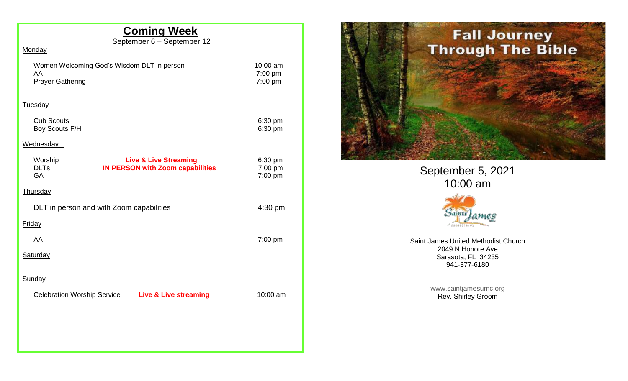# **Coming Week**

September 6 – September 12

| Monaa |  |
|-------|--|
|       |  |

| Women Welcoming God's Wisdom DLT in person |  |
|--------------------------------------------|--|
| AA.                                        |  |
| <b>Prayer Gathering</b>                    |  |

10:00 am 7:00 pm  $7:00$  pm

#### Tuesday

| <b>Cub Scouts</b> | $6:30 \text{ pm}$ |
|-------------------|-------------------|
| Boy Scouts F/H    | 6:30 pm           |

## **Wednesday**

| Worship<br><b>DLTs</b><br>GA             | <b>Live &amp; Live Streaming</b><br><b>IN PERSON with Zoom capabilities</b> | 6:30 pm<br>7:00 pm<br>7:00 pm |
|------------------------------------------|-----------------------------------------------------------------------------|-------------------------------|
| <b>Thursday</b>                          |                                                                             |                               |
| DLT in person and with Zoom capabilities |                                                                             | 4:30 pm                       |
| <b>Friday</b>                            |                                                                             |                               |
| AA                                       |                                                                             | $7:00$ pm                     |
| <b>Saturday</b>                          |                                                                             |                               |
| Sunday                                   |                                                                             |                               |
| <b>Celebration Worship Service</b>       | <b>Live &amp; Live streaming</b>                                            | 10:00 am                      |
|                                          |                                                                             |                               |
|                                          |                                                                             |                               |
|                                          |                                                                             |                               |



September 5, 2021 10:00 am



Saint James United Methodist Church 2049 N Honore Ave Sarasota, FL 34235 941-377-6180

> [www.saintjamesumc.org](http://www.saintjamesumc.org/) Rev. Shirley Groom